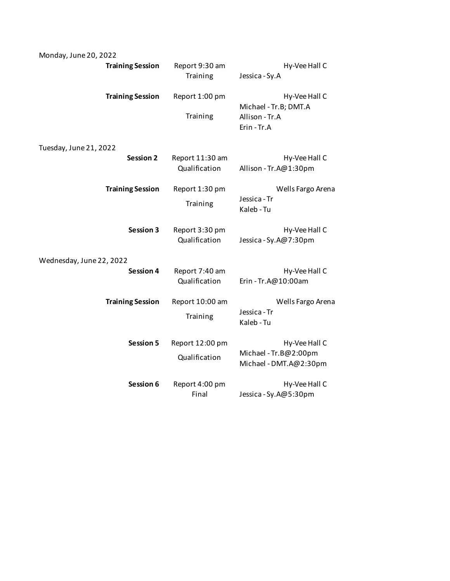| Monday, June 20, 2022    |                                  |                                                                         |
|--------------------------|----------------------------------|-------------------------------------------------------------------------|
| <b>Training Session</b>  | Report 9:30 am<br>Training       | Hy-Vee Hall C<br>Jessica - Sy.A                                         |
| <b>Training Session</b>  | Report 1:00 pm<br>Training       | Hy-Vee Hall C<br>Michael - Tr.B; DMT.A<br>Allison - Tr.A<br>Erin - Tr.A |
| Tuesday, June 21, 2022   |                                  |                                                                         |
| Session 2                | Report 11:30 am<br>Qualification | Hy-Vee Hall C<br>Allison - Tr.A@1:30pm                                  |
| <b>Training Session</b>  | Report 1:30 pm<br>Training       | Wells Fargo Arena<br>Jessica - Tr<br>Kaleb - Tu                         |
| Session 3                | Report 3:30 pm<br>Qualification  | Hy-Vee Hall C<br>Jessica - Sy.A@7:30pm                                  |
| Wednesday, June 22, 2022 |                                  |                                                                         |
| Session 4                | Report 7:40 am<br>Qualification  | Hy-Vee Hall C<br>Erin - Tr.A@10:00am                                    |
| <b>Training Session</b>  | Report 10:00 am<br>Training      | Wells Fargo Arena<br>Jessica - Tr<br>Kaleb - Tu                         |
| <b>Session 5</b>         | Report 12:00 pm<br>Qualification | Hy-Vee Hall C<br>Michael - Tr.B@2:00pm<br>Michael - DMT.A@2:30pm        |
| Session 6                | Report 4:00 pm<br>Final          | Hy-Vee Hall C<br>Jessica - Sy.A@5:30pm                                  |